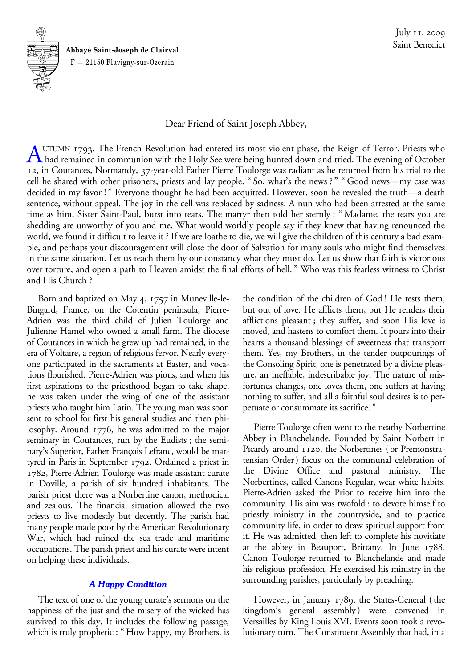**Abbaye Saint-Joseph de Clairval** F — 21150 Flavigny-sur-Ozerain

-

**<sup>S</sup> <sup>I</sup> <sup>N</sup> <sup>T</sup>**

**M**

-

**UNUM**  $\leq$ 

Dear Friend of Saint Joseph Abbey,

A UTUMN 1793. The French Revolution had entered its most violent phase, the Reign of Terror. Priests who<br>had remained in communion with the Holy See were being hunted down and tried. The evening of October<br>12. in Coutances 12, in Coutances, Normandy, 37-year-old Father Pierre Toulorge was radiant as he returned from his trial to the cell he shared with other prisoners, priests and lay people. "So, what's the news?" "Good news—my case was decided in my favor!" Everyone thought he had been acquitted. However, soon he revealed the truth—a death sentence, without appeal. The joy in the cell was replaced by sadness. A nun who had been arrested at the same time as him, Sister Saint-Paul, burst into tears. The martyr then told her sternly: "Madame, the tears you are shedding are unworthy of you and me. What would worldly people say if they knew that having renounced the world, we found it difficult to leave it? If we are loathe to die, we will give the children of this century a bad example, and perhaps your discouragement will close the door of Salvation for many souls who might find themselves in the same situation. Let us teach them by our constancy what they must do. Let us show that faith is victorious over torture, and open a path to Heaven amidst the final efforts of hell." Who was this fearless witness to Christ and His Church?

Born and baptized on May 4, 1757 in Muneville-le-Bingard, France, on the Cotentin peninsula, Pierre-Adrien was the third child of Julien Toulorge and Julienne Hamel who owned a small farm. The diocese of Coutances in which he grew up had remained, in the era of Voltaire, a region of religious fervor. Nearly everyone participated in the sacraments at Easter, and vocations flourished. Pierre-Adrien was pious, and when his first aspirations to the priesthood began to take shape, he was taken under the wing of one of the assistant priests who taught him Latin. The young man was soon sent to school for first his general studies and then philosophy. Around 1776, he was admitted to the major seminary in Coutances, run by the Eudists; the seminary's Superior, Father François Lefranc, would be martyred in Paris in September 1792. Ordained a priest in 1782, Pierre-Adrien Toulorge was made assistant curate in Doville, a parish of six hundred inhabitants. The parish priest there was a Norbertine canon, methodical and zealous. The financial situation allowed the two priests to live modestly but decently. The parish had many people made poor by the American Revolutionary War, which had ruined the sea trade and maritime occupations. The parish priest and his curate were intent on helping these individuals.

# *A Happy Condition*

The text of one of the young curate's sermons on the happiness of the just and the misery of the wicked has survived to this day. It includes the following passage, which is truly prophetic: "How happy, my Brothers, is the condition of the children of God! He tests them, but out of love. He afflicts them, but He renders their afflictions pleasant; they suffer, and soon His love is moved, and hastens to comfort them. It pours into their hearts a thousand blessings of sweetness that transport them. Yes, my Brothers, in the tender outpourings of the Consoling Spirit, one is penetrated by a divine pleasure, an ineffable, indescribable joy. The nature of misfortunes changes, one loves them, one suffers at having nothing to suffer, and all a faithful soul desires is to perpetuate or consummate its sacrifice."

Pierre Toulorge often went to the nearby Norbertine Abbey in Blanchelande. Founded by Saint Norbert in Picardy around 1120, the Norbertines (or Premonstratensian Order) focus on the communal celebration of the Divine Office and pastoral ministry. The Norbertines, called Canons Regular, wear white habits. Pierre-Adrien asked the Prior to receive him into the community. His aim was twofold: to devote himself to priestly ministry in the countryside, and to practice community life, in order to draw spiritual support from it. He was admitted, then left to complete his novitiate at the abbey in Beauport, Brittany. In June 1788, Canon Toulorge returned to Blanchelande and made his religious profession. He exercised his ministry in the surrounding parishes, particularly by preaching.

However, in January 1789, the States-General (the kingdom's general assembly) were convened in Versailles by King Louis XVI. Events soon took a revolutionary turn. The Constituent Assembly that had, in a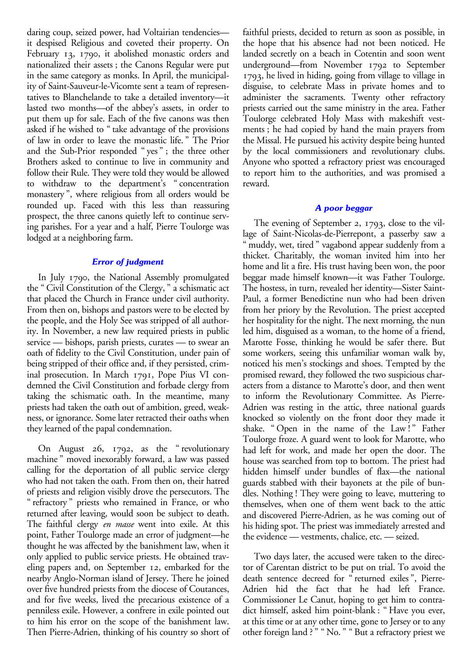daring coup, seized power, had Voltairian tendencies it despised Religious and coveted their property. On February 13, 1790, it abolished monastic orders and nationalized their assets; the Canons Regular were put in the same category as monks. In April, the municipality of Saint-Sauveur-le-Vicomte sent a team of representatives to Blanchelande to take a detailed inventory—it lasted two months—of the abbey's assets, in order to put them up for sale. Each of the five canons was then asked if he wished to "take advantage of the provisions of law in order to leave the monastic life." The Prior and the Sub-Prior responded "yes"; the three other Brothers asked to continue to live in community and follow their Rule. They were told they would be allowed to withdraw to the department's "concentration monastery", where religious from all orders would be rounded up. Faced with this less than reassuring prospect, the three canons quietly left to continue serving parishes. For a year and a half, Pierre Toulorge was lodged at a neighboring farm.

## *Error of judgment*

In July 1790, the National Assembly promulgated the "Civil Constitution of the Clergy," a schismatic act that placed the Church in France under civil authority. From then on, bishops and pastors were to be elected by the people, and the Holy See was stripped of all authority. In November, a new law required priests in public service — bishops, parish priests, curates — to swear an oath of fidelity to the Civil Constitution, under pain of being stripped of their office and, if they persisted, criminal prosecution. In March 1791, Pope Pius VI condemned the Civil Constitution and forbade clergy from taking the schismatic oath. In the meantime, many priests had taken the oath out of ambition, greed, weakness, or ignorance. Some later retracted their oaths when they learned of the papal condemnation.

On August 26, 1792, as the "revolutionary machine" moved inexorably forward, a law was passed calling for the deportation of all public service clergy who had not taken the oath. From then on, their hatred of priests and religion visibly drove the persecutors. The "refractory" priests who remained in France, or who returned after leaving, would soon be subject to death. The faithful clergy *en masse* went into exile. At this point, Father Toulorge made an error of judgment—he thought he was affected by the banishment law, when it only applied to public service priests. He obtained traveling papers and, on September 12, embarked for the nearby Anglo-Norman island of Jersey. There he joined over five hundred priests from the diocese of Coutances, and for five weeks, lived the precarious existence of a penniless exile. However, a confrere in exile pointed out to him his error on the scope of the banishment law. Then Pierre-Adrien, thinking of his country so short of faithful priests, decided to return as soon as possible, in the hope that his absence had not been noticed. He landed secretly on a beach in Cotentin and soon went underground—from November 1792 to September 1793, he lived in hiding, going from village to village in disguise, to celebrate Mass in private homes and to administer the sacraments. Twenty other refractory priests carried out the same ministry in the area. Father Toulorge celebrated Holy Mass with makeshift vestments; he had copied by hand the main prayers from the Missal. He pursued his activity despite being hunted by the local commissioners and revolutionary clubs. Anyone who spotted a refractory priest was encouraged to report him to the authorities, and was promised a reward.

## *A poor beggar*

The evening of September 2, 1793, close to the village of Saint-Nicolas-de-Pierrepont, a passerby saw a " muddy, wet, tired " vagabond appear suddenly from a thicket. Charitably, the woman invited him into her home and lit a fire. His trust having been won, the poor beggar made himself known—it was Father Toulorge. The hostess, in turn, revealed her identity—Sister Saint-Paul, a former Benedictine nun who had been driven from her priory by the Revolution. The priest accepted her hospitality for the night. The next morning, the nun led him, disguised as a woman, to the home of a friend, Marotte Fosse, thinking he would be safer there. But some workers, seeing this unfamiliar woman walk by, noticed his men's stockings and shoes. Tempted by the promised reward, they followed the two suspicious characters from a distance to Marotte's door, and then went to inform the Revolutionary Committee. As Pierre-Adrien was resting in the attic, three national guards knocked so violently on the front door they made it shake. "Open in the name of the Law!" Father Toulorge froze. A guard went to look for Marotte, who had left for work, and made her open the door. The house was searched from top to bottom. The priest had hidden himself under bundles of flax—the national guards stabbed with their bayonets at the pile of bundles. Nothing! They were going to leave, muttering to themselves, when one of them went back to the attic and discovered Pierre-Adrien, as he was coming out of his hiding spot. The priest was immediately arrested and the evidence — vestments, chalice, etc. — seized.

Two days later, the accused were taken to the director of Carentan district to be put on trial. To avoid the death sentence decreed for "returned exiles", Pierre-Adrien hid the fact that he had left France. Commissioner Le Canut, hoping to get him to contradict himself, asked him point-blank: "Have you ever, at this time or at any other time, gone to Jersey or to any other foreign land?" "No." "But a refractory priest we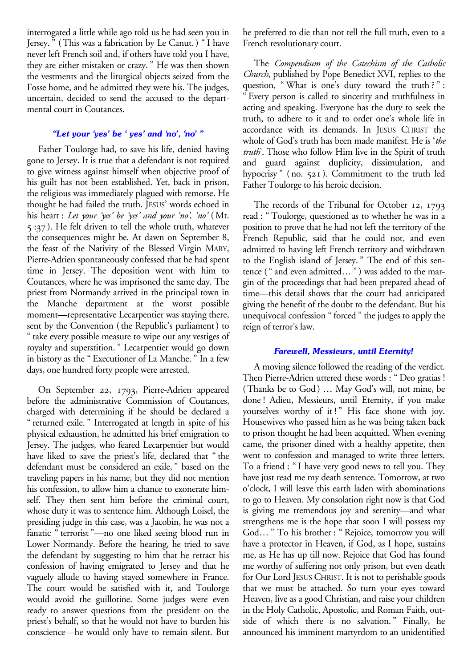interrogated a little while ago told us he had seen you in Jersey." (This was a fabrication by Le Canut.) "I have never left French soil and, if others have told you I have, they are either mistaken or crazy." He was then shown the vestments and the liturgical objects seized from the Fosse home, and he admitted they were his. The judges, uncertain, decided to send the accused to the departmental court in Coutances.

## *"Let your 'yes' be ' yes' and 'no', 'no' "*

Father Toulorge had, to save his life, denied having gone to Jersey. It is true that a defendant is not required to give witness against himself when objective proof of his guilt has not been established. Yet, back in prison, the religious was immediately plagued with remorse. He thought he had failed the truth. JESUS' words echoed in his heart: *Let your 'yes' be 'yes' and your 'no', 'no'* (Mt. 5:37). He felt driven to tell the whole truth, whatever the consequences might be. At dawn on September 8, the feast of the Nativity of the Blessed Virgin MARY, Pierre-Adrien spontaneously confessed that he had spent time in Jersey. The deposition went with him to Coutances, where he was imprisoned the same day. The priest from Normandy arrived in the principal town in the Manche department at the worst possible moment—representative Lecarpentier was staying there, sent by the Convention (the Republic's parliament) to "take every possible measure to wipe out any vestiges of royalty and superstition." Lecarpentier would go down in history as the "Executioner of La Manche." In a few days, one hundred forty people were arrested.

On September 22, 1793, Pierre-Adrien appeared before the administrative Commission of Coutances, charged with determining if he should be declared a "returned exile." Interrogated at length in spite of his physical exhaustion, he admitted his brief emigration to Jersey. The judges, who feared Lecarpentier but would have liked to save the priest's life, declared that "the defendant must be considered an exile," based on the traveling papers in his name, but they did not mention his confession, to allow him a chance to exonerate himself. They then sent him before the criminal court, whose duty it was to sentence him. Although Loisel, the presiding judge in this case, was a Jacobin, he was not a fanatic "terrorist"—no one liked seeing blood run in Lower Normandy. Before the hearing, he tried to save the defendant by suggesting to him that he retract his confession of having emigrated to Jersey and that he vaguely allude to having stayed somewhere in France. The court would be satisfied with it, and Toulorge would avoid the guillotine. Some judges were even ready to answer questions from the president on the priest's behalf, so that he would not have to burden his conscience—he would only have to remain silent. But

he preferred to die than not tell the full truth, even to a French revolutionary court.

The *Compendium of the Catechism of the Catholic Church*, published by Pope Benedict XVI, replies to the question, "What is one's duty toward the truth?": Every person is called to sincerity and truthfulness in acting and speaking. Everyone has the duty to seek the truth, to adhere to it and to order one's whole life in accordance with its demands. In JESUS CHRIST the whole of God's truth has been made manifest. He is '*the truth*'. Those who follow Him live in the Spirit of truth and guard against duplicity, dissimulation, and hypocrisy" (no. 521). Commitment to the truth led Father Toulorge to his heroic decision.

The records of the Tribunal for October 12, 1793 read: "Toulorge, questioned as to whether he was in a position to prove that he had not left the territory of the French Republic, said that he could not, and even admitted to having left French territory and withdrawn to the English island of Jersey." The end of this sentence ("and even admitted…") was added to the margin of the proceedings that had been prepared ahead of time—this detail shows that the court had anticipated giving the benefit of the doubt to the defendant. But his unequivocal confession "forced" the judges to apply the reign of terror's law.

# *Farewell, Messieurs, until Eternity!*

A moving silence followed the reading of the verdict. Then Pierre-Adrien uttered these words: "Deo gratias! (Thanks be to God) … May God's will, not mine, be done! Adieu, Messieurs, until Eternity, if you make yourselves worthy of it!" His face shone with joy. Housewives who passed him as he was being taken back to prison thought he had been acquitted. When evening came, the prisoner dined with a healthy appetite, then went to confession and managed to write three letters. To a friend: "I have very good news to tell you. They have just read me my death sentence. Tomorrow, at two o'clock, I will leave this earth laden with abominations to go to Heaven. My consolation right now is that God is giving me tremendous joy and serenity—and what strengthens me is the hope that soon I will possess my God…" To his brother: "Rejoice, tomorrow you will have a protector in Heaven, if God, as I hope, sustains me, as He has up till now. Rejoice that God has found me worthy of suffering not only prison, but even death for Our Lord JESUS CHRIST. It is not to perishable goods that we must be attached. So turn your eyes toward Heaven, live as a good Christian, and raise your children in the Holy Catholic, Apostolic, and Roman Faith, outside of which there is no salvation." Finally, he announced his imminent martyrdom to an unidentified